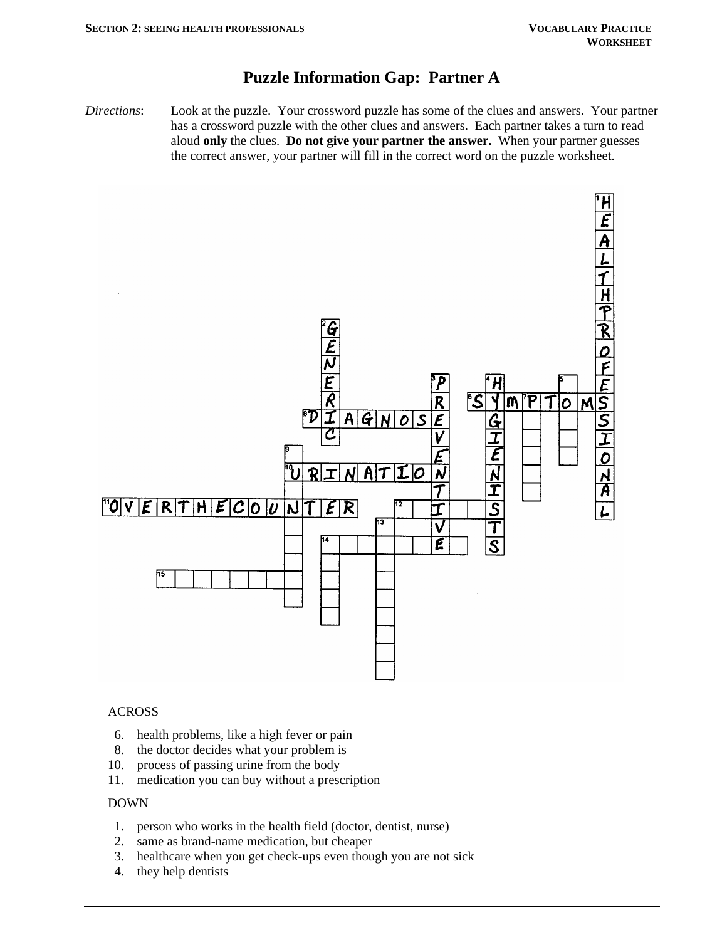## **Puzzle Information Gap: Partner A**

*Directions*: Look at the puzzle. Your crossword puzzle has some of the clues and answers. Your partner has a crossword puzzle with the other clues and answers. Each partner takes a turn to read aloud **only** the clues. **Do not give your partner the answer.** When your partner guesses the correct answer, your partner will fill in the correct word on the puzzle worksheet.



### ACROSS

- 6. health problems, like a high fever or pain
- 8. the doctor decides what your problem is
- 10. process of passing urine from the body
- 11. medication you can buy without a prescription

#### DOWN

- 1. person who works in the health field (doctor, dentist, nurse)
- 2. same as brand-name medication, but cheaper
- 3. healthcare when you get check-ups even though you are not sick
- 4. they help dentists